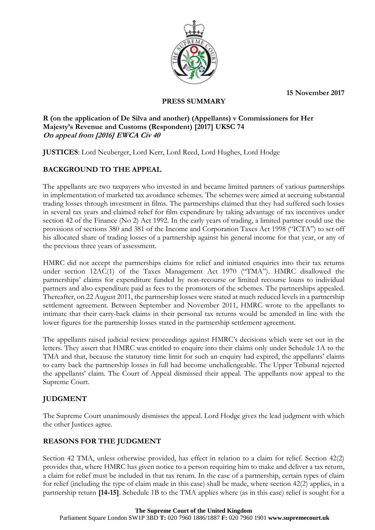**15 November 2017**



## **PRESS SUMMARY**

#### **R (on the application of De Silva and another) (Appellants) v Commissioners for Her Majesty's Revenue and Customs (Respondent) [2017] UKSC 74 On appeal from [2016] EWCA Civ 40**

**JUSTICES**: Lord Neuberger, Lord Kerr, Lord Reed, Lord Hughes, Lord Hodge

# **BACKGROUND TO THE APPEAL**

The appellants are two taxpayers who invested in and became limited partners of various partnerships in implementation of marketed tax avoidance schemes. The schemes were aimed at accruing substantial trading losses through investment in films. The partnerships claimed that they had suffered such losses in several tax years and claimed relief for film expenditure by taking advantage of tax incentives under section 42 of the Finance (No 2) Act 1992. In the early years of trading, a limited partner could use the provisions of sections 380 and 381 of the Income and Corporation Taxes Act 1998 ("ICTA") to set off his allocated share of trading losses of a partnership against his general income for that year, or any of the previous three years of assessment.

HMRC did not accept the partnerships claims for relief and initiated enquiries into their tax returns under section 12AC(1) of the Taxes Management Act 1970 ("TMA"). HMRC disallowed the partnerships' claims for expenditure funded by non-recourse or limited recourse loans to individual partners and also expenditure paid as fees to the promoters of the schemes. The partnerships appealed. Thereafter, on 22 August 2011, the partnership losses were stated at much reduced levels in a partnership settlement agreement. Between September and November 2011, HMRC wrote to the appellants to intimate that their carry-back claims in their personal tax returns would be amended in line with the lower figures for the partnership losses stated in the partnership settlement agreement.

The appellants raised judicial review proceedings against HMRC's decisions which were set out in the letters. They assert that HMRC was entitled to enquire into their claims only under Schedule 1A to the TMA and that, because the statutory time limit for such an enquiry had expired, the appellants' claims to carry back the partnership losses in full had become unchallengeable. The Upper Tribunal rejected the appellants' claim. The Court of Appeal dismissed their appeal. The appellants now appeal to the Supreme Court.

## **JUDGMENT**

The Supreme Court unanimously dismisses the appeal. Lord Hodge gives the lead judgment with which the other Justices agree.

## **REASONS FOR THE JUDGMENT**

Section 42 TMA, unless otherwise provided, has effect in relation to a claim for relief. Section 42(2) provides that, where HMRC has given notice to a person requiring him to make and deliver a tax return, a claim for relief must be included in that tax return. In the case of a partnership, certain types of claim for relief (including the type of claim made in this case) shall be made, where section 42(2) applies, in a partnership return **[14-15]**. Schedule 1B to the TMA applies where (as in this case) relief is sought for a

#### **The Supreme Court of the United Kingdom**

Parliament Square London SW1P 3BD **T:** 020 7960 1886/1887 **F:** 020 7960 1901 **www.supremecourt.uk**